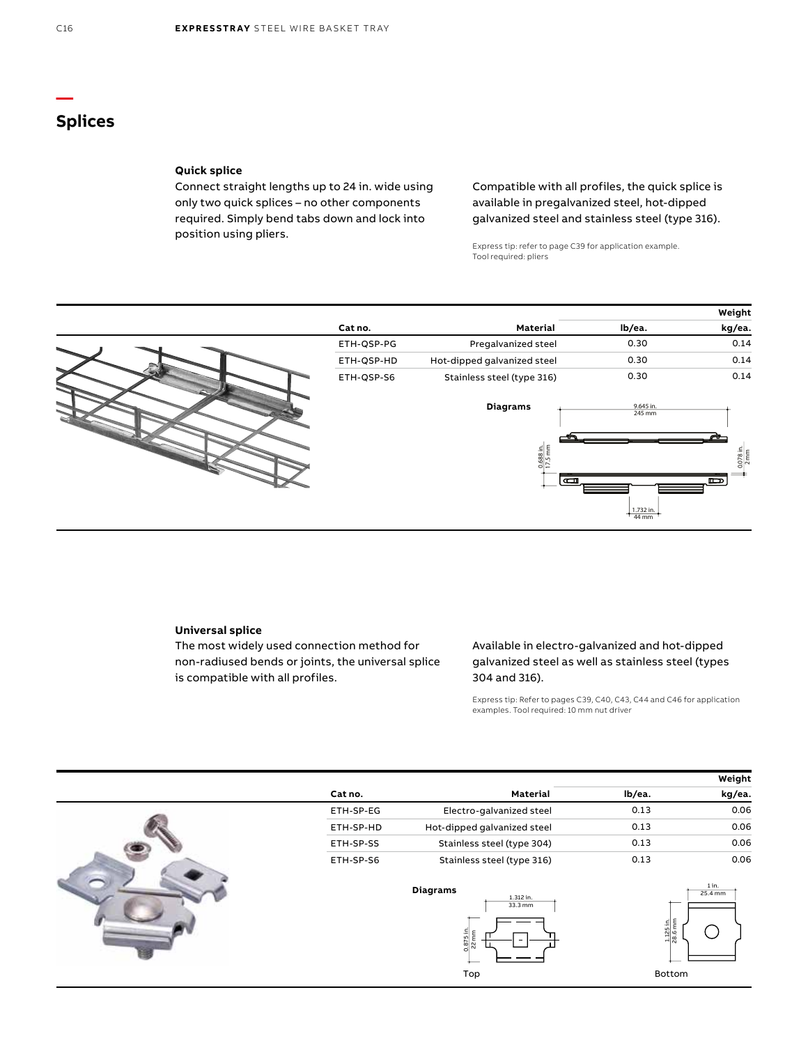# **Splices**

## **Quick splice**

Connect straight lengths up to 24 in. wide using only two quick splices – no other components required. Simply bend tabs down and lock into position using pliers.

Compatible with all profiles, the quick splice is available in pregalvanized steel, hot-dipped galvanized steel and stainless steel (type 316).

Express tip: refer to page C39 for application example. Tool required: pliers



## **Universal splice**

The most widely used connection method for non-radiused bends or joints, the universal splice is compatible with all profiles.

## Available in electro-galvanized and hot-dipped galvanized steel as well as stainless steel (types 304 and 316).

Express tip: Refer to pages C39, C40, C43, C44 and C46 for application examples. Tool required: 10 mm nut driver

|           |                                                            |        | Weight                                                          |
|-----------|------------------------------------------------------------|--------|-----------------------------------------------------------------|
| Cat no.   | Material                                                   | lb/ea. | kg/ea.                                                          |
| ETH-SP-EG | Electro-galvanized steel                                   | 0.13   | 0.06                                                            |
| ETH-SP-HD | Hot-dipped galvanized steel                                | 0.13   | 0.06                                                            |
| ETH-SP-SS | Stainless steel (type 304)                                 | 0.13   | 0.06                                                            |
| ETH-SP-S6 | Stainless steel (type 316)                                 | 0.13   | 0.06                                                            |
|           | <b>Diagrams</b><br>1.312 in.<br>33.3 mm<br>ا≘.<br>0.875 in |        | 1 in.<br>25.4 mm<br>$\frac{1.125 \text{ in.}}{28.6 \text{ mm}}$ |
|           | Top                                                        |        | Bottom                                                          |

**—**